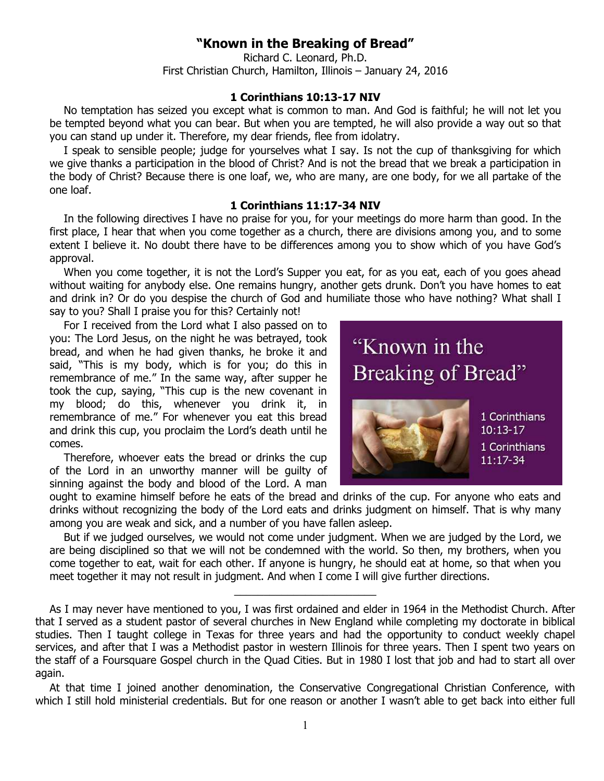## **"Known in the Breaking of Bread"**

Richard C. Leonard, Ph.D. First Christian Church, Hamilton, Illinois – January 24, 2016

## **1 Corinthians 10:13-17 NIV**

No temptation has seized you except what is common to man. And God is faithful; he will not let you be tempted beyond what you can bear. But when you are tempted, he will also provide a way out so that you can stand up under it. Therefore, my dear friends, flee from idolatry.

I speak to sensible people; judge for yourselves what I say. Is not the cup of thanksgiving for which we give thanks a participation in the blood of Christ? And is not the bread that we break a participation in the body of Christ? Because there is one loaf, we, who are many, are one body, for we all partake of the one loaf.

## **1 Corinthians 11:17-34 NIV**

In the following directives I have no praise for you, for your meetings do more harm than good. In the first place, I hear that when you come together as a church, there are divisions among you, and to some extent I believe it. No doubt there have to be differences among you to show which of you have God's approval.

When you come together, it is not the Lord's Supper you eat, for as you eat, each of you goes ahead without waiting for anybody else. One remains hungry, another gets drunk. Don't you have homes to eat and drink in? Or do you despise the church of God and humiliate those who have nothing? What shall I say to you? Shall I praise you for this? Certainly not!

For I received from the Lord what I also passed on to you: The Lord Jesus, on the night he was betrayed, took bread, and when he had given thanks, he broke it and said, "This is my body, which is for you; do this in remembrance of me." In the same way, after supper he took the cup, saying, "This cup is the new covenant in my blood; do this, whenever you drink it, in remembrance of me." For whenever you eat this bread and drink this cup, you proclaim the Lord's death until he comes.

Therefore, whoever eats the bread or drinks the cup of the Lord in an unworthy manner will be guilty of sinning against the body and blood of the Lord. A man



ought to examine himself before he eats of the bread and drinks of the cup. For anyone who eats and drinks without recognizing the body of the Lord eats and drinks judgment on himself. That is why many among you are weak and sick, and a number of you have fallen asleep.

But if we judged ourselves, we would not come under judgment. When we are judged by the Lord, we are being disciplined so that we will not be condemned with the world. So then, my brothers, when you come together to eat, wait for each other. If anyone is hungry, he should eat at home, so that when you meet together it may not result in judgment. And when I come I will give further directions.

\_\_\_\_\_\_\_\_\_\_\_\_\_\_\_\_\_\_\_\_\_\_\_\_

As I may never have mentioned to you, I was first ordained and elder in 1964 in the Methodist Church. After that I served as a student pastor of several churches in New England while completing my doctorate in biblical studies. Then I taught college in Texas for three years and had the opportunity to conduct weekly chapel services, and after that I was a Methodist pastor in western Illinois for three years. Then I spent two years on the staff of a Foursquare Gospel church in the Quad Cities. But in 1980 I lost that job and had to start all over again.

At that time I joined another denomination, the Conservative Congregational Christian Conference, with which I still hold ministerial credentials. But for one reason or another I wasn't able to get back into either full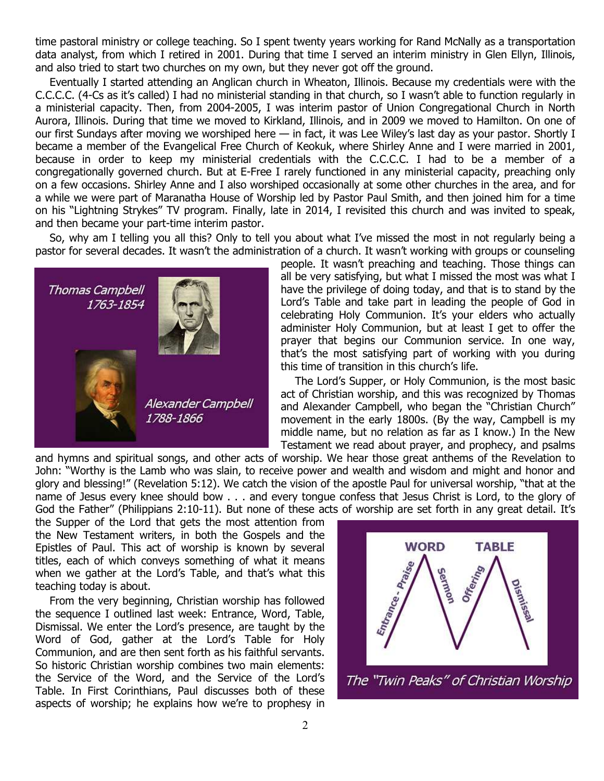time pastoral ministry or college teaching. So I spent twenty years working for Rand McNally as a transportation data analyst, from which I retired in 2001. During that time I served an interim ministry in Glen Ellyn, Illinois, and also tried to start two churches on my own, but they never got off the ground.

Eventually I started attending an Anglican church in Wheaton, Illinois. Because my credentials were with the C.C.C.C. (4-Cs as it's called) I had no ministerial standing in that church, so I wasn't able to function regularly in a ministerial capacity. Then, from 2004-2005, I was interim pastor of Union Congregational Church in North Aurora, Illinois. During that time we moved to Kirkland, Illinois, and in 2009 we moved to Hamilton. On one of our first Sundays after moving we worshiped here — in fact, it was Lee Wiley's last day as your pastor. Shortly I became a member of the Evangelical Free Church of Keokuk, where Shirley Anne and I were married in 2001, because in order to keep my ministerial credentials with the C.C.C.C. I had to be a member of a congregationally governed church. But at E-Free I rarely functioned in any ministerial capacity, preaching only on a few occasions. Shirley Anne and I also worshiped occasionally at some other churches in the area, and for a while we were part of Maranatha House of Worship led by Pastor Paul Smith, and then joined him for a time on his "Lightning Strykes" TV program. Finally, late in 2014, I revisited this church and was invited to speak, and then became your part-time interim pastor.

So, why am I telling you all this? Only to tell you about what I've missed the most in not regularly being a pastor for several decades. It wasn't the administration of a church. It wasn't working with groups or counseling



people. It wasn't preaching and teaching. Those things can all be very satisfying, but what I missed the most was what I have the privilege of doing today, and that is to stand by the Lord's Table and take part in leading the people of God in celebrating Holy Communion. It's your elders who actually administer Holy Communion, but at least I get to offer the prayer that begins our Communion service. In one way, that's the most satisfying part of working with you during this time of transition in this church's life.

The Lord's Supper, or Holy Communion, is the most basic act of Christian worship, and this was recognized by Thomas and Alexander Campbell, who began the "Christian Church" movement in the early 1800s. (By the way, Campbell is my middle name, but no relation as far as I know.) In the New Testament we read about prayer, and prophecy, and psalms

and hymns and spiritual songs, and other acts of worship. We hear those great anthems of the Revelation to John: "Worthy is the Lamb who was slain, to receive power and wealth and wisdom and might and honor and glory and blessing!" (Revelation 5:12). We catch the vision of the apostle Paul for universal worship, "that at the name of Jesus every knee should bow . . . and every tongue confess that Jesus Christ is Lord, to the glory of God the Father" (Philippians 2:10-11). But none of these acts of worship are set forth in any great detail. It's

the Supper of the Lord that gets the most attention from the New Testament writers, in both the Gospels and the Epistles of Paul. This act of worship is known by several titles, each of which conveys something of what it means when we gather at the Lord's Table, and that's what this teaching today is about.

From the very beginning, Christian worship has followed the sequence I outlined last week: Entrance, Word, Table, Dismissal. We enter the Lord's presence, are taught by the Word of God, gather at the Lord's Table for Holy Communion, and are then sent forth as his faithful servants. So historic Christian worship combines two main elements: the Service of the Word, and the Service of the Lord's Table. In First Corinthians, Paul discusses both of these aspects of worship; he explains how we're to prophesy in



The "Twin Peaks" of Christian Worship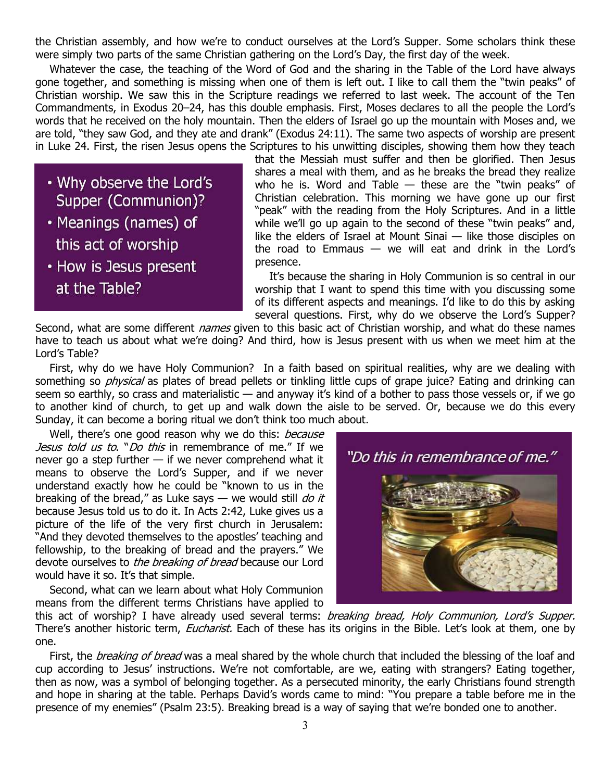the Christian assembly, and how we're to conduct ourselves at the Lord's Supper. Some scholars think these were simply two parts of the same Christian gathering on the Lord's Day, the first day of the week.

Whatever the case, the teaching of the Word of God and the sharing in the Table of the Lord have always gone together, and something is missing when one of them is left out. I like to call them the "twin peaks" of Christian worship. We saw this in the Scripture readings we referred to last week. The account of the Ten Commandments, in Exodus 20–24, has this double emphasis. First, Moses declares to all the people the Lord's words that he received on the holy mountain. Then the elders of Israel go up the mountain with Moses and, we are told, "they saw God, and they ate and drank" (Exodus 24:11). The same two aspects of worship are present in Luke 24. First, the risen Jesus opens the Scriptures to his unwitting disciples, showing them how they teach

. Why observe the Lord's Supper (Communion)?

- Meanings (names) of this act of worship
- How is Jesus present at the Table?

that the Messiah must suffer and then be glorified. Then Jesus shares a meal with them, and as he breaks the bread they realize who he is. Word and Table  $-$  these are the "twin peaks" of Christian celebration. This morning we have gone up our first "peak" with the reading from the Holy Scriptures. And in a little while we'll go up again to the second of these "twin peaks" and, like the elders of Israel at Mount Sinai — like those disciples on the road to Emmaus  $-$  we will eat and drink in the Lord's presence.

It's because the sharing in Holy Communion is so central in our worship that I want to spend this time with you discussing some of its different aspects and meanings. I'd like to do this by asking several questions. First, why do we observe the Lord's Supper?

Second, what are some different names given to this basic act of Christian worship, and what do these names have to teach us about what we're doing? And third, how is Jesus present with us when we meet him at the Lord's Table?

First, why do we have Holy Communion? In a faith based on spiritual realities, why are we dealing with something so *physical* as plates of bread pellets or tinkling little cups of grape juice? Eating and drinking can seem so earthly, so crass and materialistic — and anyway it's kind of a bother to pass those vessels or, if we go to another kind of church, to get up and walk down the aisle to be served. Or, because we do this every Sunday, it can become a boring ritual we don't think too much about.

Well, there's one good reason why we do this: because Jesus told us to. "Do this in remembrance of me." If we never go a step further — if we never comprehend what it means to observe the Lord's Supper, and if we never understand exactly how he could be "known to us in the breaking of the bread," as Luke says  $-$  we would still *do it* because Jesus told us to do it. In Acts 2:42, Luke gives us a picture of the life of the very first church in Jerusalem: "And they devoted themselves to the apostles' teaching and fellowship, to the breaking of bread and the prayers." We devote ourselves to the breaking of bread because our Lord would have it so. It's that simple.

Second, what can we learn about what Holy Communion means from the different terms Christians have applied to



this act of worship? I have already used several terms: breaking bread, Holy Communion, Lord's Supper. There's another historic term, *Eucharist*. Each of these has its origins in the Bible. Let's look at them, one by one.

First, the breaking of bread was a meal shared by the whole church that included the blessing of the loaf and cup according to Jesus' instructions. We're not comfortable, are we, eating with strangers? Eating together, then as now, was a symbol of belonging together. As a persecuted minority, the early Christians found strength and hope in sharing at the table. Perhaps David's words came to mind: "You prepare a table before me in the presence of my enemies" (Psalm 23:5). Breaking bread is a way of saying that we're bonded one to another.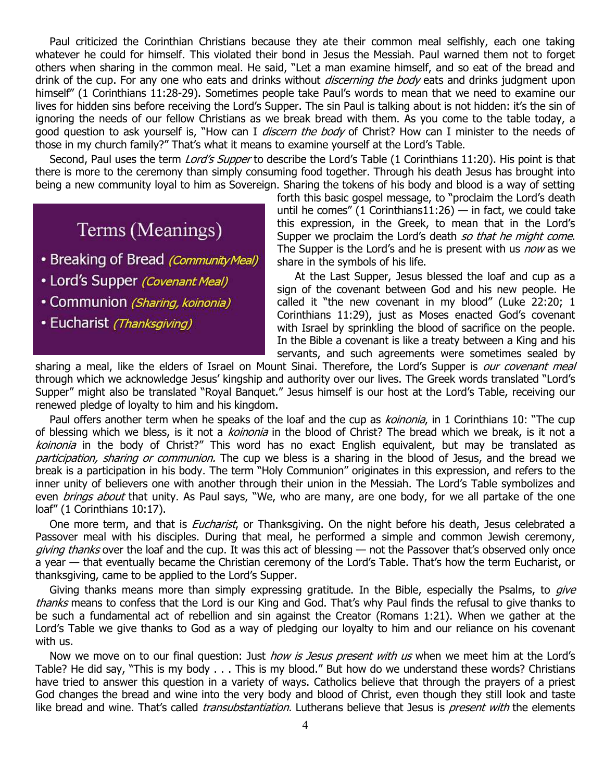Paul criticized the Corinthian Christians because they ate their common meal selfishly, each one taking whatever he could for himself. This violated their bond in Jesus the Messiah. Paul warned them not to forget others when sharing in the common meal. He said, "Let a man examine himself, and so eat of the bread and drink of the cup. For any one who eats and drinks without *discerning the body* eats and drinks judgment upon himself" (1 Corinthians 11:28-29). Sometimes people take Paul's words to mean that we need to examine our lives for hidden sins before receiving the Lord's Supper. The sin Paul is talking about is not hidden: it's the sin of ignoring the needs of our fellow Christians as we break bread with them. As you come to the table today, a good question to ask yourself is, "How can I *discern the body* of Christ? How can I minister to the needs of those in my church family?" That's what it means to examine yourself at the Lord's Table.

Second, Paul uses the term Lord's Supper to describe the Lord's Table (1 Corinthians 11:20). His point is that there is more to the ceremony than simply consuming food together. Through his death Jesus has brought into being a new community loyal to him as Sovereign. Sharing the tokens of his body and blood is a way of setting

## Terms (Meanings)

- Breaking of Bread (Community Meal)
- Lord's Supper (Covenant Meal)
- Communion (Sharing, koinonia)
- · Eucharist (Thanksgiving)

forth this basic gospel message, to "proclaim the Lord's death until he comes" (1 Corinthians11:26) — in fact, we could take this expression, in the Greek, to mean that in the Lord's Supper we proclaim the Lord's death so that he might come. The Supper is the Lord's and he is present with us *now* as we share in the symbols of his life.

 At the Last Supper, Jesus blessed the loaf and cup as a sign of the covenant between God and his new people. He called it "the new covenant in my blood" (Luke 22:20; 1 Corinthians 11:29), just as Moses enacted God's covenant with Israel by sprinkling the blood of sacrifice on the people. In the Bible a covenant is like a treaty between a King and his servants, and such agreements were sometimes sealed by

sharing a meal, like the elders of Israel on Mount Sinai. Therefore, the Lord's Supper is our covenant meal through which we acknowledge Jesus' kingship and authority over our lives. The Greek words translated "Lord's Supper" might also be translated "Royal Banquet." Jesus himself is our host at the Lord's Table, receiving our renewed pledge of loyalty to him and his kingdom.

Paul offers another term when he speaks of the loaf and the cup as koinonia, in 1 Corinthians 10: "The cup of blessing which we bless, is it not a koinonia in the blood of Christ? The bread which we break, is it not a koinonia in the body of Christ?" This word has no exact English equivalent, but may be translated as participation, sharing or communion. The cup we bless is a sharing in the blood of Jesus, and the bread we break is a participation in his body. The term "Holy Communion" originates in this expression, and refers to the inner unity of believers one with another through their union in the Messiah. The Lord's Table symbolizes and even *brings about* that unity. As Paul says, "We, who are many, are one body, for we all partake of the one loaf" (1 Corinthians 10:17).

One more term, and that is *Eucharist*, or Thanksgiving. On the night before his death, Jesus celebrated a Passover meal with his disciples. During that meal, he performed a simple and common Jewish ceremony, *giving thanks* over the loaf and the cup. It was this act of blessing  $-$  not the Passover that's observed only once a year — that eventually became the Christian ceremony of the Lord's Table. That's how the term Eucharist, or thanksgiving, came to be applied to the Lord's Supper.

Giving thanks means more than simply expressing gratitude. In the Bible, especially the Psalms, to *give* thanks means to confess that the Lord is our King and God. That's why Paul finds the refusal to give thanks to be such a fundamental act of rebellion and sin against the Creator (Romans 1:21). When we gather at the Lord's Table we give thanks to God as a way of pledging our loyalty to him and our reliance on his covenant with us.

Now we move on to our final question: Just *how is Jesus present with us* when we meet him at the Lord's Table? He did say, "This is my body . . . This is my blood." But how do we understand these words? Christians have tried to answer this question in a variety of ways. Catholics believe that through the prayers of a priest God changes the bread and wine into the very body and blood of Christ, even though they still look and taste like bread and wine. That's called *transubstantiation*. Lutherans believe that Jesus is *present with* the elements